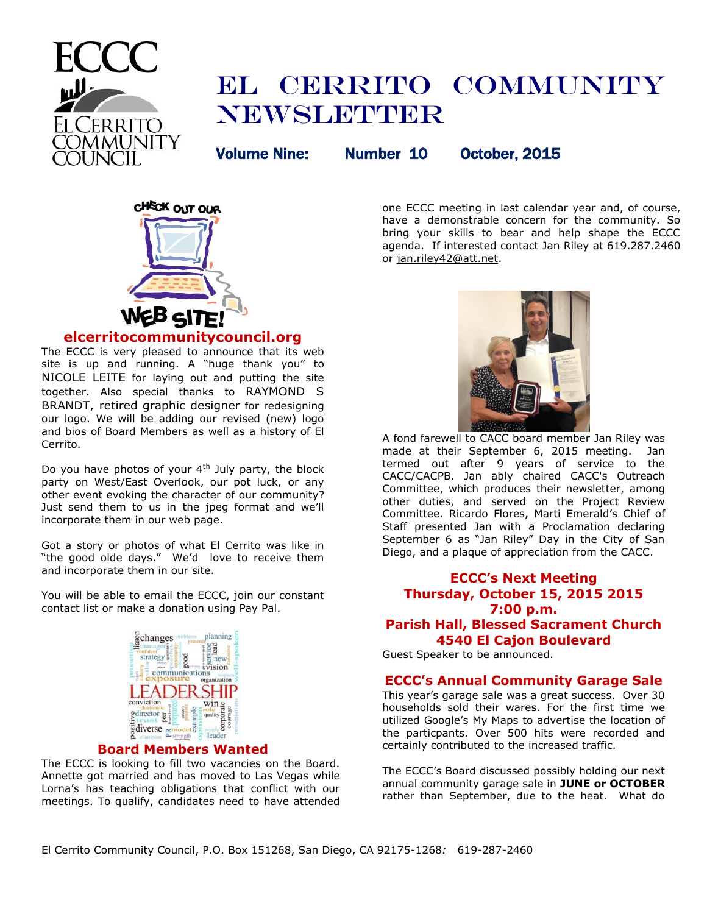

# EL CERRITO COMMUNITY **NEWSLETTER**

Volume Nine: Number 10 October, 2015



# **elcerritocommunitycouncil.org**

The ECCC is very pleased to announce that its web site is up and running. A "huge thank you" to NICOLE LEITE for laying out and putting the site together. Also special thanks to RAYMOND S BRANDT, retired graphic designer for redesigning our logo. We will be adding our revised (new) logo and bios of Board Members as well as a history of El Cerrito.

Do you have photos of your  $4<sup>th</sup>$  July party, the block party on West/East Overlook, our pot luck, or any other event evoking the character of our community? Just send them to us in the jpeg format and we'll incorporate them in our web page.

Got a story or photos of what El Cerrito was like in "the good olde days." We'd love to receive them and incorporate them in our site.

You will be able to email the ECCC, join our constant contact list or make a donation using Pay Pal.



# **Board Members Wanted**

The ECCC is looking to fill two vacancies on the Board. Annette got married and has moved to Las Vegas while Lorna's has teaching obligations that conflict with our meetings. To qualify, candidates need to have attended one ECCC meeting in last calendar year and, of course, have a demonstrable concern for the community. So bring your skills to bear and help shape the ECCC agenda. If interested contact Jan Riley at 619.287.2460 or [jan.riley42@att.net.](mailto:jan.riley42@att.net)



A fond farewell to CACC board member Jan Riley was made at their September 6, 2015 meeting. Jan termed out after 9 years of service to the CACC/CACPB. Jan ably chaired CACC's Outreach Committee, which produces their newsletter, among other duties, and served on the Project Review Committee. Ricardo Flores, Marti Emerald's Chief of Staff presented Jan with a Proclamation declaring September 6 as "Jan Riley" Day in the City of San Diego, and a plaque of appreciation from the CACC.

# **ECCC's Next Meeting Thursday, October 15, 2015 2015 7:00 p.m. Parish Hall, Blessed Sacrament Church 4540 El Cajon Boulevard**

Guest Speaker to be announced.

## **ECCC's Annual Community Garage Sale**

This year's garage sale was a great success. Over 30 households sold their wares. For the first time we utilized Google's My Maps to advertise the location of the particpants. Over 500 hits were recorded and certainly contributed to the increased traffic.

The ECCC's Board discussed possibly holding our next annual community garage sale in **JUNE or OCTOBER** rather than September, due to the heat. What do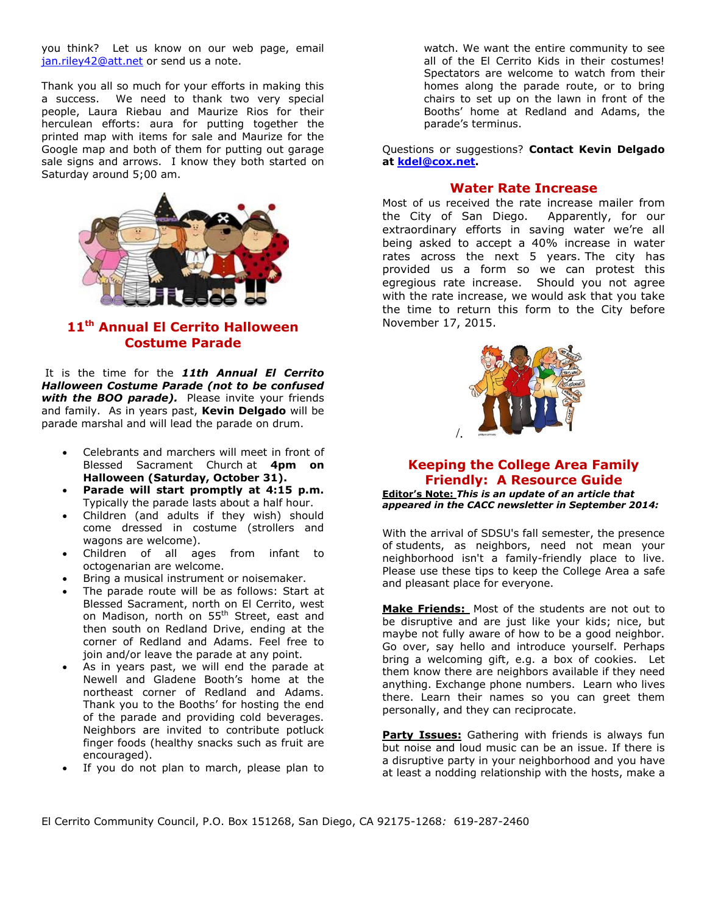you think? Let us know on our web page, email [jan.riley42@att.net](mailto:jan.riley42@att.net) or send us a note.

Thank you all so much for your efforts in making this a success. We need to thank two very special people, Laura Riebau and Maurize Rios for their herculean efforts: aura for putting together the printed map with items for sale and Maurize for the Google map and both of them for putting out garage sale signs and arrows. I know they both started on Saturday around 5;00 am.



# **11th Annual El Cerrito Halloween Costume Parade**

It is the time for the *11th Annual El Cerrito Halloween Costume Parade (not to be confused*  with the BOO parade). Please invite your friends and family. As in years past, **Kevin Delgado** will be parade marshal and will lead the parade on drum.

- Celebrants and marchers will meet in front of Blessed Sacrament Church at **4pm on Halloween (Saturday, October 31).**
- **Parade will start promptly at 4:15 p.m.** Typically the parade lasts about a half hour.
- Children (and adults if they wish) should come dressed in costume (strollers and wagons are welcome).
- Children of all ages from infant to octogenarian are welcome.
- Bring a musical instrument or noisemaker.
- The parade route will be as follows: Start at Blessed Sacrament, north on El Cerrito, west on Madison, north on 55<sup>th</sup> Street, east and then south on Redland Drive, ending at the corner of Redland and Adams. Feel free to join and/or leave the parade at any point.
- As in years past, we will end the parade at Newell and Gladene Booth's home at the northeast corner of Redland and Adams. Thank you to the Booths' for hosting the end of the parade and providing cold beverages. Neighbors are invited to contribute potluck finger foods (healthy snacks such as fruit are encouraged).
- If you do not plan to march, please plan to

watch. We want the entire community to see all of the El Cerrito Kids in their costumes! Spectators are welcome to watch from their homes along the parade route, or to bring chairs to set up on the lawn in front of the Booths' home at Redland and Adams, the parade's terminus.

Questions or suggestions? **Contact Kevin Delgado at [kdel@cox.net.](mailto:kdel@cox.net)**

## **Water Rate Increase**

Most of us received the rate increase mailer from the City of San Diego. Apparently, for our extraordinary efforts in saving water we're all being asked to accept a 40% increase in water rates across the next 5 years. The city has provided us a form so we can protest this egregious rate increase. Should you not agree with the rate increase, we would ask that you take the time to return this form to the City before November 17, 2015.



# **Keeping the College Area Family Friendly: A Resource Guide**

**Editor's Note:** *This is an update of an article that appeared in the CACC newsletter in September 2014:*

With the arrival of SDSU's fall semester, the presence of students, as neighbors, need not mean your neighborhood isn't a family-friendly place to live. Please use these tips to keep the College Area a safe and pleasant place for everyone.

**Make Friends:** Most of the students are not out to be disruptive and are just like your kids; nice, but maybe not fully aware of how to be a good neighbor. Go over, say hello and introduce yourself. Perhaps bring a welcoming gift, e.g. a box of cookies. Let them know there are neighbors available if they need anything. Exchange phone numbers. Learn who lives there. Learn their names so you can greet them personally, and they can reciprocate.

**Party Issues:** Gathering with friends is always fun but noise and loud music can be an issue. If there is a disruptive party in your neighborhood and you have at least a nodding relationship with the hosts, make a

El Cerrito Community Council, P.O. Box 151268, San Diego, CA 92175-1268*:* 619-287-2460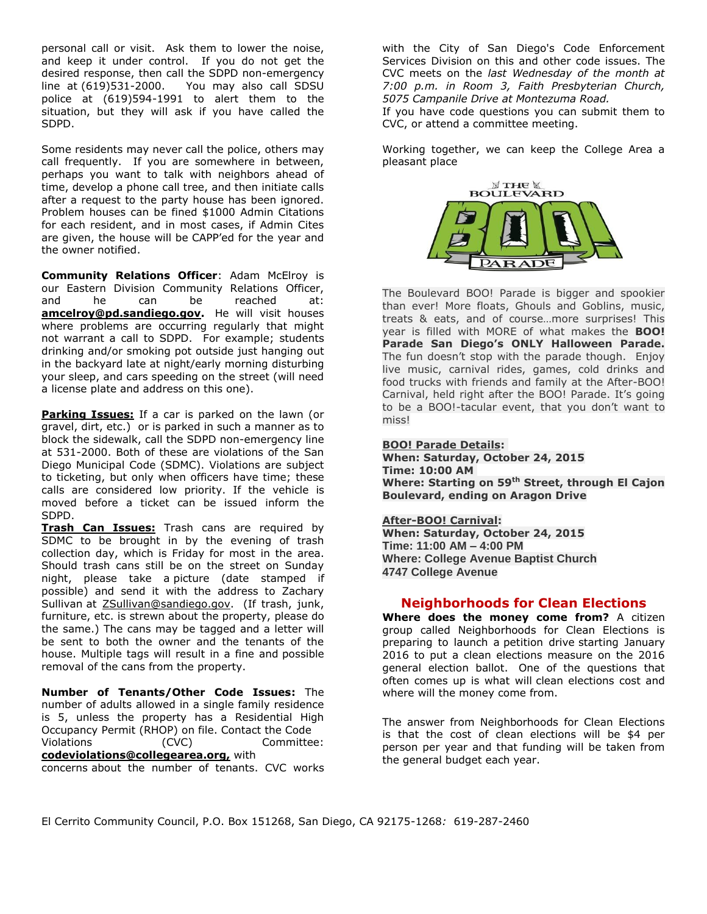personal call or visit. Ask them to lower the noise, and keep it under control. If you do not get the desired response, then call the SDPD non-emergency line at (619)531-2000. You may also call SDSU police at (619)594-1991 to alert them to the situation, but they will ask if you have called the SDPD.

Some residents may never call the police, others may call frequently. If you are somewhere in between, perhaps you want to talk with neighbors ahead of time, develop a phone call tree, and then initiate calls after a request to the party house has been ignored. Problem houses can be fined \$1000 Admin Citations for each resident, and in most cases, if Admin Cites are given, the house will be CAPP'ed for the year and the owner notified.

**Community Relations Officer**: Adam McElroy is our Eastern Division Community Relations Officer, and he can be reached at: **amcelroy@pd.sandiego.gov.** He will visit houses where problems are occurring regularly that might not warrant a call to SDPD. For example; students drinking and/or smoking pot outside just hanging out in the backyard late at night/early morning disturbing your sleep, and cars speeding on the street (will need a license plate and address on this one).

**Parking Issues:** If a car is parked on the lawn (or gravel, dirt, etc.) or is parked in such a manner as to block the sidewalk, call the SDPD non-emergency line at 531-2000. Both of these are violations of the San Diego Municipal Code (SDMC). Violations are subject to ticketing, but only when officers have time; these calls are considered low priority. If the vehicle is moved before a ticket can be issued inform the SDPD.

**Trash Can Issues:** Trash cans are required by SDMC to be brought in by the evening of trash collection day, which is Friday for most in the area. Should trash cans still be on the street on Sunday night, please take a picture (date stamped if possible) and send it with the address to Zachary Sullivan at ZSullivan@sandiego.gov. (If trash, junk, furniture, etc. is strewn about the property, please do the same.) The cans may be tagged and a letter will be sent to both the owner and the tenants of the house. Multiple tags will result in a fine and possible removal of the cans from the property.

**Number of Tenants/Other Code Issues:** The number of adults allowed in a single family residence is 5, unless the property has a Residential High Occupancy Permit (RHOP) on file. Contact the Code Violations (CVC) Committee:

**codeviolations@collegearea.org,** with

concerns about the number of tenants. CVC works

with the City of San Diego's Code Enforcement Services Division on this and other code issues. The CVC meets on the *last Wednesday of the month at 7:00 p.m. in Room 3, Faith Presbyterian Church, 5075 Campanile Drive at Montezuma Road.*

If you have code questions you can submit them to [CVC,](mailto:codeviolations@collegearea.org) or attend a committee meeting.

Working together, we can keep the College Area a pleasant place



The Boulevard BOO! Parade is bigger and spookier than ever! More floats, Ghouls and Goblins, music, treats & eats, and of course…more surprises! This year is filled with MORE of what makes the **BOO! Parade San Diego's ONLY Halloween Parade.** The fun doesn't stop with the parade though. Enjoy live music, carnival rides, games, cold drinks and food trucks with friends and family at the After-BOO! Carnival, held right after the BOO! Parade. It's going to be a BOO!-tacular event, that you don't want to miss!

## **BOO! Parade Details:**

**When: Saturday, October 24, 2015 Time: 10:00 AM Where: Starting on 59th Street, through El Cajon Boulevard, ending on Aragon Drive**

## **After-BOO! Carnival:**

**When: Saturday, October 24, 2015 Time: 11:00 AM – 4:00 PM Where: College Avenue Baptist Church 4747 College Avenue**

## **Neighborhoods for Clean Elections**

**Where does the money come from?** A citizen group called Neighborhoods for Clean Elections is preparing to launch a petition drive starting January 2016 to put a clean elections measure on the 2016 general election ballot. One of the questions that often comes up is what will clean elections cost and where will the money come from.

The answer from Neighborhoods for Clean Elections is that the cost of clean elections will be \$4 per person per year and that funding will be taken from the general budget each year.

El Cerrito Community Council, P.O. Box 151268, San Diego, CA 92175-1268*:* 619-287-2460